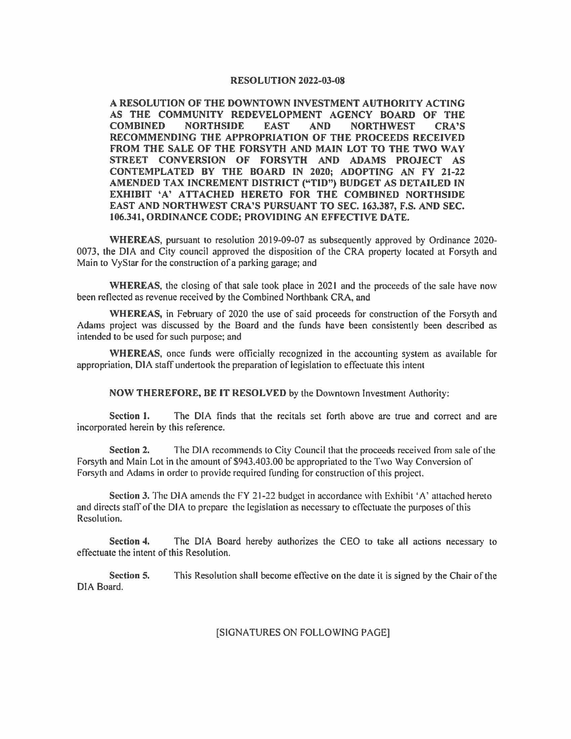## RESOLUTION 2022-03-08

A RESOLUTION OF THE DOWNTOWN INVESTMENT AUTHORITY ACTING AS THE COMMUNITY REDEVELOPMENT AGENCY BOARD OF THE COMBINED NORTHSIDE EAST AND NORTHWEST CRA'S RECOMMENDING THE APPROPRIATION OF THE PROCEEDS RECEIVED FROM THE SALE OF THE FORSYTH AND MAIN LOT TO THE TWO WAY STREET CONVERSION OF FORSYTH AND ADAMS PROJECT AS CONTEMPLATED BY THE BOARD IN 2020; ADOPTING AN FY 21-22 **AMENDED TAX INCREMENT DISTRICT ("TID") BUDGET AS DETAILED IN EXHIBIT 'A' ATTACHED HERETO FOR THE COMBINED NORTHSIDE EAST AND NORTHWEST CRA'S PURSUANT TO SEC. 163.387, F.S. AND SEC. 106.341, ORDINANCE CODE; PROVJDING AN EFFECTIVE DATE.** 

**WHEREAS,** pursuant to resolution 2019-09-07 as subsequently approved by Ordinance 2020· 0073, the DIA and City council approved the disposition of the CRA property located at Forsyth and Main to VyStar for the construction of a parking garage; and

**WHEREAS,** the closing of that sale took place in 2021 and the proceeds of the sale have now been reflected as revenue received by the Combined Northbank CRA, and

**WHEREAS,** in February of 2020 the use of said proceeds for construction of the Forsyth and Adams project was discussed by the Board and the funds have been consistently been described as intended to be used for such purpose; and

**WHEREAS,** once funds were officially recognized in the accounting system as available for appropriation, DIA staff undertook the preparation of legislation to effectuate this intent

**NOW THEREFORE, BE IT RESOLVED** by the Downtown Investment Authority:

**Section 1.** The DIA finds that the recitals set forth above are true and correct and are incorporated herein by this reference.

**Section 2.** The DIA recommends to City Council that the proceeds received from sale of the Forsyth and Main Lot in the amount of \$943.403.00 be appropriated to the Two Way Conversion of Forsyth and Adams in order to provide required funding for construction of this project.

**Section 3.** The DIA amends the FY 21-22 budget in accordance with Exhibit 'A' attached hereto and directs staff of the DIA to prepare the legislation as necessary to effectuate the purposes of this Resolution.

**Section 4.** The DIA Board hereby authorizes the CEO to take all actions necessary to effectuate the intent of this Resolution.

**Section 5.** This Resolution shall become effective on the date it is signed by the Chair of the DIA Board.

[SIGNATURES ON FOLLOWING PAGE]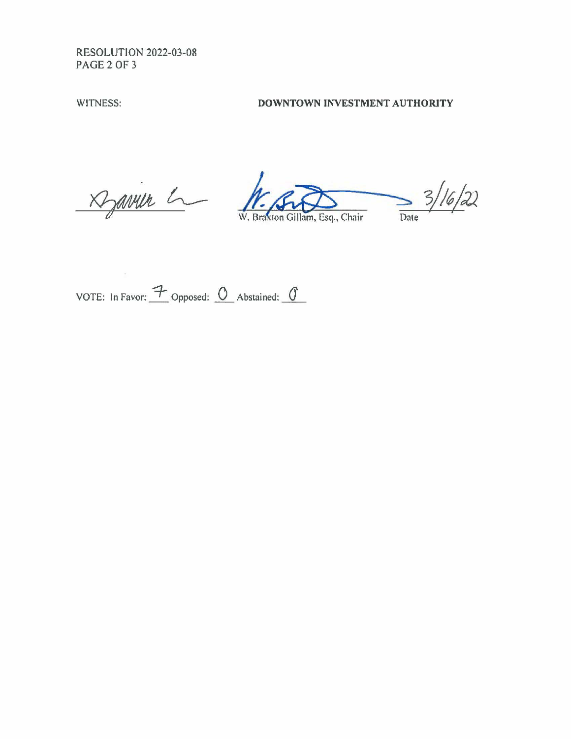RESOLUTION 2022-03-08 PAGE2 OF 3

## WITNESS: **DOWNTOWN INVESTMENT AUTHORITY**

Davier L

 $\frac{3}{2}$ 

W. Braxton Gillam, Esq., Chair

VOTE: In Favor:  $\overline{\mathcal{F}}$  Opposed:  $\overline{O}$  Abstained:  $\overline{O}$